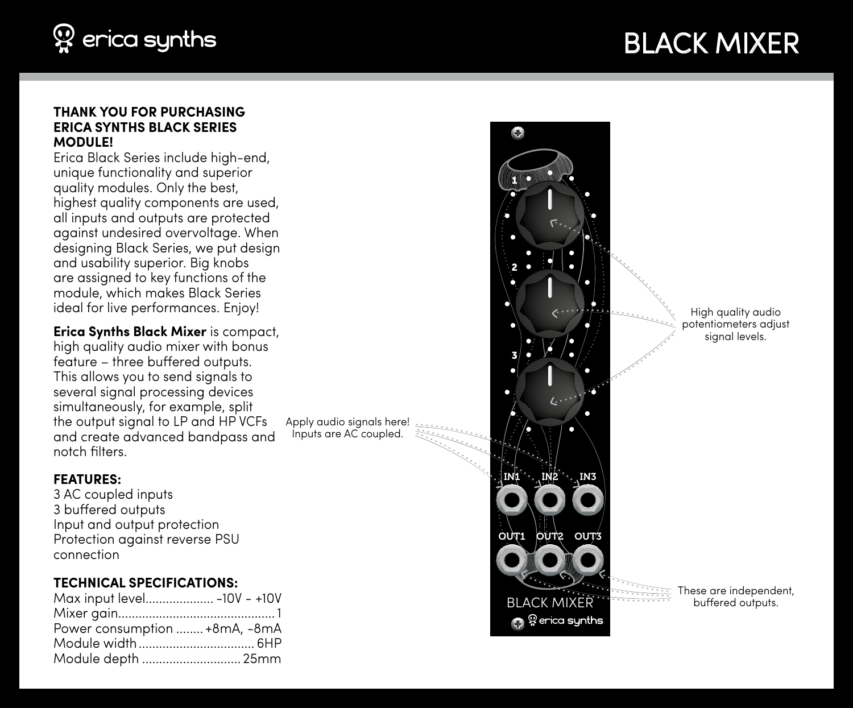

## BLACK MIXER

#### **THANK YOU FOR PURCHASING ERICA SYNTHS BLACK SERIES MODULE!**

Erica Black Series include high-end, unique functionality and superior quality modules. Only the best, highest quality components are used, all inputs and outputs are protected against undesired overvoltage. When designing Black Series, we put design and usability superior. Big knobs are assigned to key functions of the module, which makes Black Series ideal for live performances. Enjoy!

**Erica Synths Black Mixer** is compact, high quality qudio mixer with bonus feature – three buffered outputs. This allows you to send signals to several signal processing devices simultaneously, for example, split the output signal to LP and HP VCFs and create advanced bandpass and notch filters.

#### **FEATURES:**

3 AC coupled inputs 3 buffered outputs Input and output protection Protection against reverse PSU connection

### **TECHNICAL SPECIFICATIONS:**

| Max input level -10V - +10V   |  |
|-------------------------------|--|
|                               |  |
| Power consumption  +8mA, -8mA |  |
|                               |  |
| Module depth  25mm            |  |

Apply audio signals here! Inputs are AC coupled.



High quality audio potentiometers adjust signal levels.

These are independent, buffered outputs.